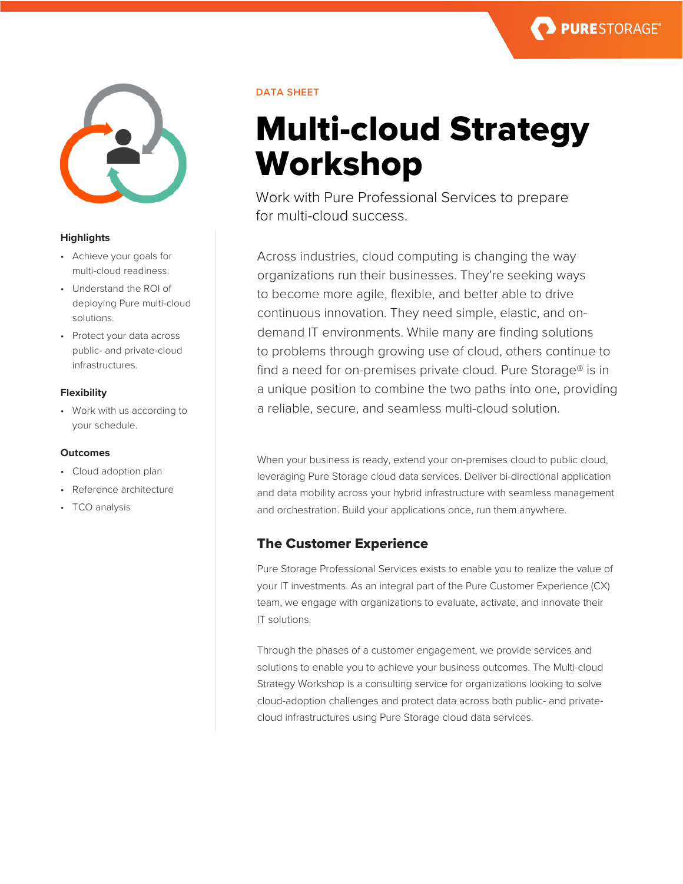



### **Highlights**

- Achieve your goals for multi-cloud readiness.
- Understand the ROI of deploying Pure multi-cloud solutions.
- Protect your data across public- and private-cloud infrastructures.

# **Flexibility**

• Work with us according to your schedule.

### **Outcomes**

- Cloud adoption plan
- Reference architecture
- TCO analysis

# DATA SHEET

# Multi-cloud Strategy Workshop

Work with Pure Professional Services to prepare for multi-cloud success.

Across industries, cloud computing is changing the way organizations run their businesses. They're seeking ways to become more agile, flexible, and better able to drive continuous innovation. They need simple, elastic, and ondemand IT environments. While many are finding solutions to problems through growing use of cloud, others continue to find a need for on-premises private cloud. Pure Storage® is in a unique position to combine the two paths into one, providing a reliable, secure, and seamless multi-cloud solution.

When your business is ready, extend your on-premises cloud to public cloud, leveraging Pure Storage cloud data services. Deliver bi-directional application and data mobility across your hybrid infrastructure with seamless management and orchestration. Build your applications once, run them anywhere.

# The Customer Experience

Pure Storage Professional Services exists to enable you to realize the value of your IT investments. As an integral part of the Pure Customer Experience (CX) team, we engage with organizations to evaluate, activate, and innovate their IT solutions.

Through the phases of a customer engagement, we provide services and solutions to enable you to achieve your business outcomes. The Multi-cloud Strategy Workshop is a consulting service for organizations looking to solve cloud-adoption challenges and protect data across both public- and privatecloud infrastructures using Pure Storage cloud data services.